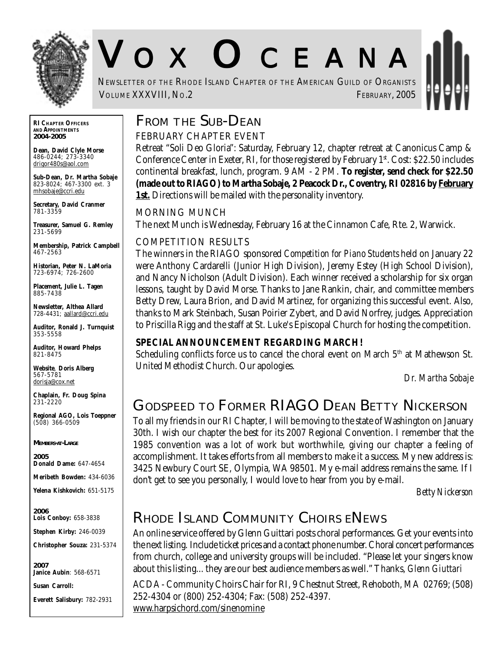

# V O X O CEANA

NEWSLETTER OF THE RHODE ISLAND CHAPTER OF THE AMERICAN GUILD OF ORGANISTS VOLUME XXXVIII, NO.2 FEBRUARY, 2005

**RI CHAPTER OFFICERS AND APPOINTMENTS** *2004-2005*

**Dean, David Clyle Morse** 486-0244; 273-3340 drigor480s@aol.com

**Sub-Dean, Dr. Martha Sobaje** 823-8024; 467-3300 ext. 3 mhsobaje@ccri.edu

**Secretary, David Cranmer** 781-3359

**Treasurer, Samuel G. Remley** 231-5699

**Membership, Patrick Campbell** 467-2563

**Historian, Peter N. LaMoria** 723-6974; 726-2600

**Placement, Julie L. Tagen** 885-7438

**Newsletter, Althea Allard** 728-4431; aallard@ccri.edu

**Auditor, Ronald J. Turnquist** 353-5558

**Auditor, Howard Phelps** 821-8475

**Website**, **Doris Alberg** 567-5781 dorisja@cox.net

**Chaplain, Fr. Doug Spina** 231-2220

**Regional AGO, Lois Toeppner** (508) 366-0509

*MEMBERS-AT-LARGE*

*2005* **Donald Dame:** 647-4654

**Meribeth Bowden:** 434-6036

**Yelena Kishkovich:** 651-5175

*2006* **Lois Conboy:** 658-3838

**Stephen Kirby:** 246-0039

**Christopher Souza:** 231-5374

*2007* **Janice Aubin**: 568-6571

**Susan Carroll:**

**Everett Salisbury:** 782-2931

# **FROM THE SUB-DEAN**

FEBRUARY CHAPTER EVENT

Retreat "Soli Deo Gloria": Saturday, February 12, chapter retreat at Canonicus Camp & Conference Center in Exeter, RI, for those registered by February  $1<sup>st</sup>$ . Cost: \$22.50 includes continental breakfast, lunch, program. 9 AM - 2 PM. **To register, send check for \$22.50 (made out to RIAGO) to Martha Sobaje, 2 Peacock Dr., Coventry, RI 02816 by February 1st.** Directions will be mailed with the personality inventory.

MORNING MUNCH

The next Munch is Wednesday, February 16 at the Cinnamon Cafe, Rte. 2, Warwick.

#### COMPETITION RESULTS

The winners in the RIAGO sponsored *Competition for Piano Students* held on January 22 were Anthony Cardarelli (Junior High Division), Jeremy Estey (High School Division), and Nancy Nicholson (Adult Division). Each winner received a scholarship for six organ lessons, taught by David Morse. Thanks to Jane Rankin, chair, and committee members Betty Drew, Laura Brion, and David Martinez, for organizing this successful event. Also, thanks to Mark Steinbach, Susan Poirier Zybert, and David Norfrey, judges. Appreciation to Priscilla Rigg and the staff at St. Luke's Episcopal Church for hosting the competition.

#### **SPECIAL ANNOUNCEMENT REGARDING MARCH!**

Scheduling conflicts force us to cancel the choral event on March  $5<sup>th</sup>$  at Mathewson St. United Methodist Church. Our apologies.

*Dr. Martha Sobaje*

# **GODSPEED TO FORMER RIAGO DEAN BETTY NICKERSON**

To all my friends in our RI Chapter, I will be moving to the state of Washington on January 30th. I wish our chapter the best for its 2007 Regional Convention. I remember that the 1985 convention was a lot of work but worthwhile, giving our chapter a feeling of accomplishment. It takes efforts from all members to make it a success. My new address is: 3425 Newbury Court SE, Olympia, WA 98501. My e-mail address remains the same. If I don't get to see you personally, I would love to hear from you by e-mail.

*Betty Nickerson*

# **RHODE ISLAND COMMUNITY CHOIRS ENEWS**

An online service offered by Glenn Guittari posts choral performances. Get your events into the next listing. Include ticket prices and a contact phone number. Choral concert performances from church, college and university groups will be included. "Please let your singers know about this listing... they are our best audience members as well." Thanks, *Glenn Giuttari*

ACDA - Community Choirs Chair for RI, 9 Chestnut Street, Rehoboth, MA 02769; (508) 252-4304 or (800) 252-4304; Fax: (508) 252-4397. www.harpsichord.com/sinenomine